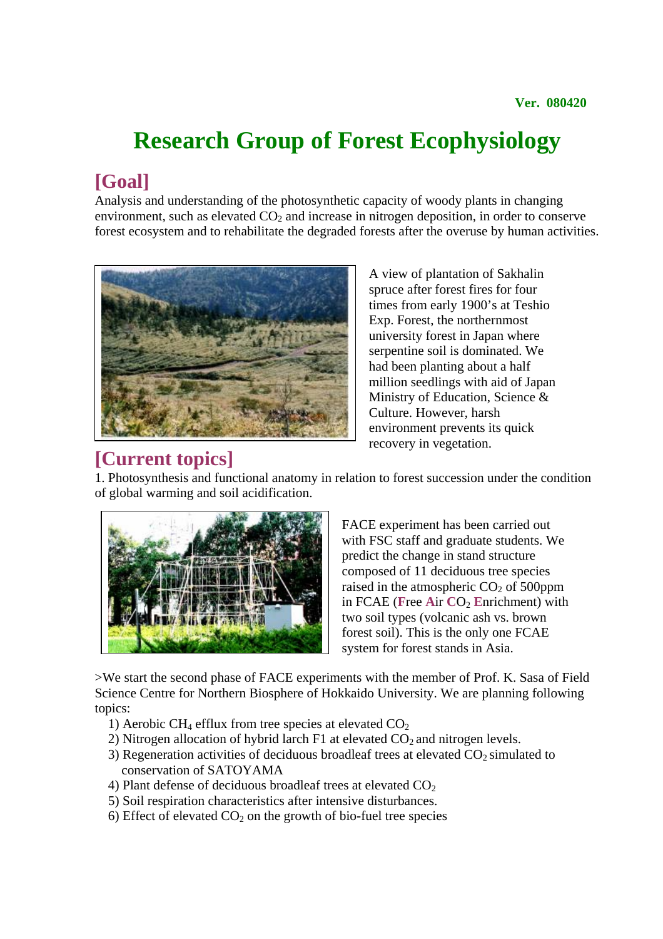# **Research Group of Forest Ecophysiology**

**[Goal]** Analysis and understanding of the photosynthetic capacity of woody plants in changing environment, such as elevated  $CO<sub>2</sub>$  and increase in nitrogen deposition, in order to conserve forest ecosystem and to rehabilitate the degraded forests after the overuse by human activities.



A view of plantation of Sakhalin spruce after forest fires for four times from early 1900's at Teshio Exp. Forest, the northernmost university forest in Japan where serpentine soil is dominated. We had been planting about a half million seedlings with aid of Japan Ministry of Education, Science & Culture. However, harsh environment prevents its quick recovery in vegetation.

**[Current topics]**<br>1. Photosynthesis and functional anatomy in relation to forest succession under the condition of global warming and soil acidification.



FACE experiment has been carried out with FSC staff and graduate students. We predict the change in stand structure composed of 11 deciduous tree species raised in the atmospheric  $CO<sub>2</sub>$  of 500ppm in FCAE (Free Air CO<sub>2</sub> Enrichment) with two soil types (volcanic ash vs. brown forest soil). This is the only one FCAE system for forest stands in Asia.

>We start the second phase of FACE experiments with the member of Prof. K. Sasa of Field Science Centre for Northern Biosphere of Hokkaido University. We are planning following topics:

- 1) Aerobic CH<sub>4</sub> efflux from tree species at elevated  $CO<sub>2</sub>$
- 2) Nitrogen allocation of hybrid larch  $F1$  at elevated  $CO<sub>2</sub>$  and nitrogen levels.
- 3) Regeneration activities of deciduous broadleaf trees at elevated  $CO<sub>2</sub>$  simulated to conservation of SATOYAMA
- 4) Plant defense of deciduous broadleaf trees at elevated  $CO<sub>2</sub>$
- 5) Soil respiration characteristics after intensive disturbances.
- 6) Effect of elevated  $CO<sub>2</sub>$  on the growth of bio-fuel tree species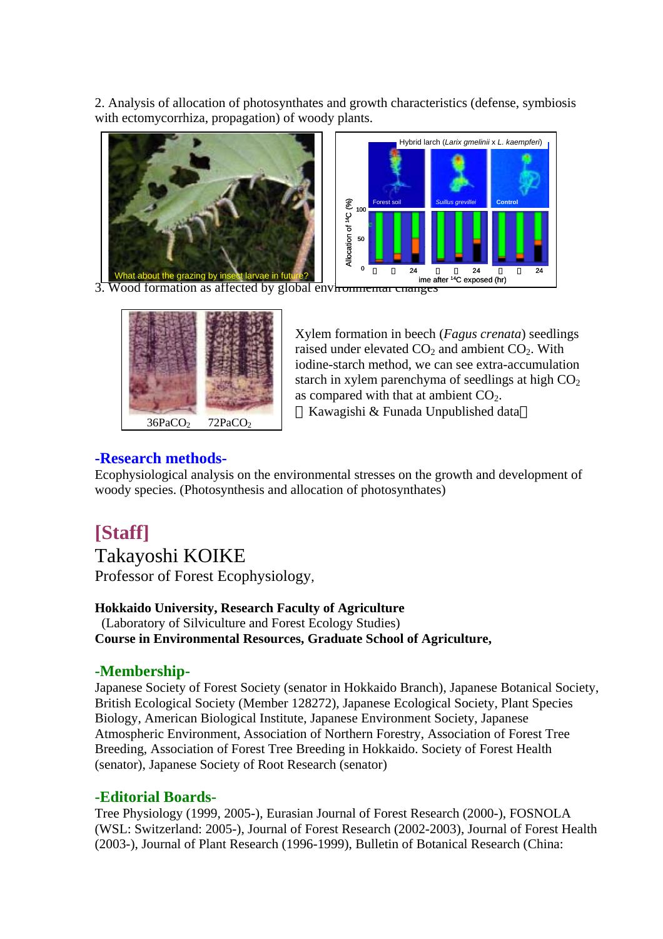2. Analysis of allocation of photosynthates and growth characteristics (defense, symbiosis with ectomycorrhiza, propagation) of woody plants.



3. Wood formation as affected by global environmental changes



Xylem formation in beech (*Fagus crenata*) seedlings raised under elevated  $CO<sub>2</sub>$  and ambient  $CO<sub>2</sub>$ . With iodine-starch method, we can see extra-accumulation starch in xylem parenchyma of seedlings at high  $CO<sub>2</sub>$ as compared with that at ambient  $CO<sub>2</sub>$ .

Kawagishi & Funada Unpublished data

## **-Research methods-**

Ecophysiological analysis on the environmental stresses on the growth and development of woody species. (Photosynthesis and allocation of photosynthates)

# **[Staff]**

Takayoshi KOIKE

Professor of Forest Ecophysiology,

#### **Hokkaido University, Research Faculty of Agriculture** (Laboratory of Silviculture and Forest Ecology Studies) **Course in Environmental Resources, Graduate School of Agriculture,**

### **-Membership-**

Japanese Society of Forest Society (senator in Hokkaido Branch), Japanese Botanical Society, British Ecological Society (Member 128272), Japanese Ecological Society, Plant Species Biology, American Biological Institute, Japanese Environment Society, Japanese Atmospheric Environment, Association of Northern Forestry, Association of Forest Tree Breeding, Association of Forest Tree Breeding in Hokkaido. Society of Forest Health (senator), Japanese Society of Root Research (senator)

### **-Editorial Boards-**

Tree Physiology (1999, 2005-), Eurasian Journal of Forest Research (2000-), FOSNOLA (WSL: Switzerland: 2005-), Journal of Forest Research (2002-2003), Journal of Forest Health (2003-), Journal of Plant Research (1996-1999), Bulletin of Botanical Research (China: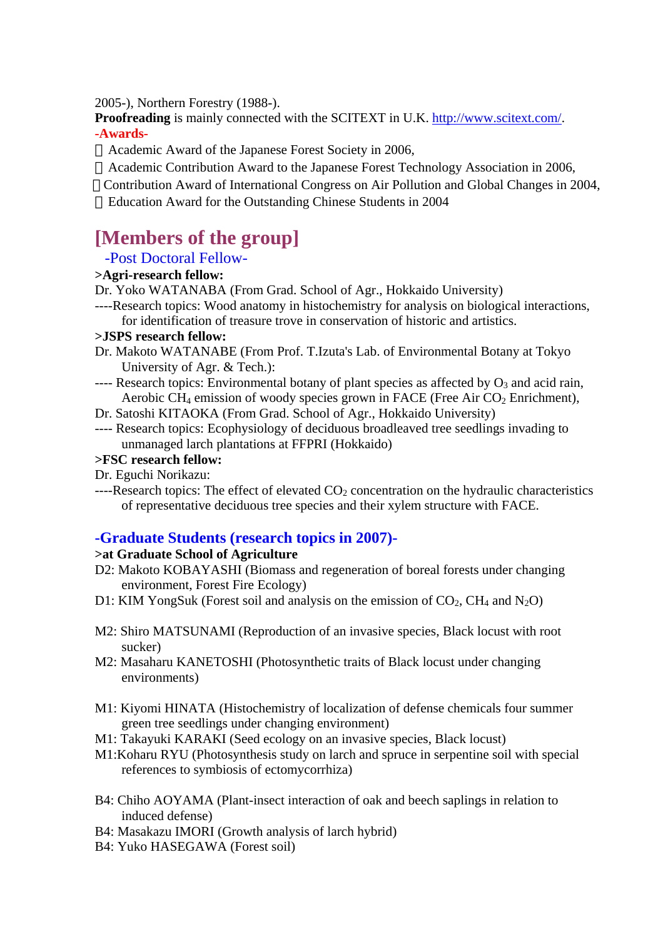2005-), Northern Forestry (1988-).

**Proofreading** is mainly connected with the SCITEXT in U.K. http://www.scitext.com/. **-Awards-**

Academic Award of the Japanese Forest Society in 2006,

Academic Contribution Award to the Japanese Forest Technology Association in 2006, Contribution Award of International Congress on Air Pollution and Global Changes in 2004, Education Award for the Outstanding Chinese Students in 2004

# **[Members of the group]**

### -Post Doctoral Fellow-

### **>Agri-research fellow:**

Dr. Yoko WATANABA (From Grad. School of Agr., Hokkaido University)

----Research topics: Wood anatomy in histochemistry for analysis on biological interactions, for identification of treasure trove in conservation of historic and artistics.

#### **>JSPS research fellow:**

- Dr. Makoto WATANABE (From Prof. T.Izuta's Lab. of Environmental Botany at Tokyo University of Agr. & Tech.):
- ---- Research topics: Environmental botany of plant species as affected by  $O_3$  and acid rain, Aerobic CH<sub>4</sub> emission of woody species grown in FACE (Free Air  $CO<sub>2</sub>$  Enrichment),
- Dr. Satoshi KITAOKA (From Grad. School of Agr., Hokkaido University)
- ---- Research topics: Ecophysiology of deciduous broadleaved tree seedlings invading to unmanaged larch plantations at FFPRI (Hokkaido)

#### **>FSC research fellow:**

- Dr. Eguchi Norikazu:
- $---$ Research topics: The effect of elevated  $CO<sub>2</sub>$  concentration on the hydraulic characteristics of representative deciduous tree species and their xylem structure with FACE.

### **-Graduate Students (research topics in 2007)-**

### **>at Graduate School of Agriculture**

- D2: Makoto KOBAYASHI (Biomass and regeneration of boreal forests under changing environment, Forest Fire Ecology)
- D1: KIM YongSuk (Forest soil and analysis on the emission of  $CO<sub>2</sub>$ , CH<sub>4</sub> and N<sub>2</sub>O)
- M2: Shiro MATSUNAMI (Reproduction of an invasive species, Black locust with root sucker)
- M2: Masaharu KANETOSHI (Photosynthetic traits of Black locust under changing environments)
- M1: Kiyomi HINATA (Histochemistry of localization of defense chemicals four summer green tree seedlings under changing environment)
- M1: Takayuki KARAKI (Seed ecology on an invasive species, Black locust)
- M1:Koharu RYU (Photosynthesis study on larch and spruce in serpentine soil with special references to symbiosis of ectomycorrhiza)
- B4: Chiho AOYAMA (Plant-insect interaction of oak and beech saplings in relation to induced defense)
- B4: Masakazu IMORI (Growth analysis of larch hybrid)
- B4: Yuko HASEGAWA (Forest soil)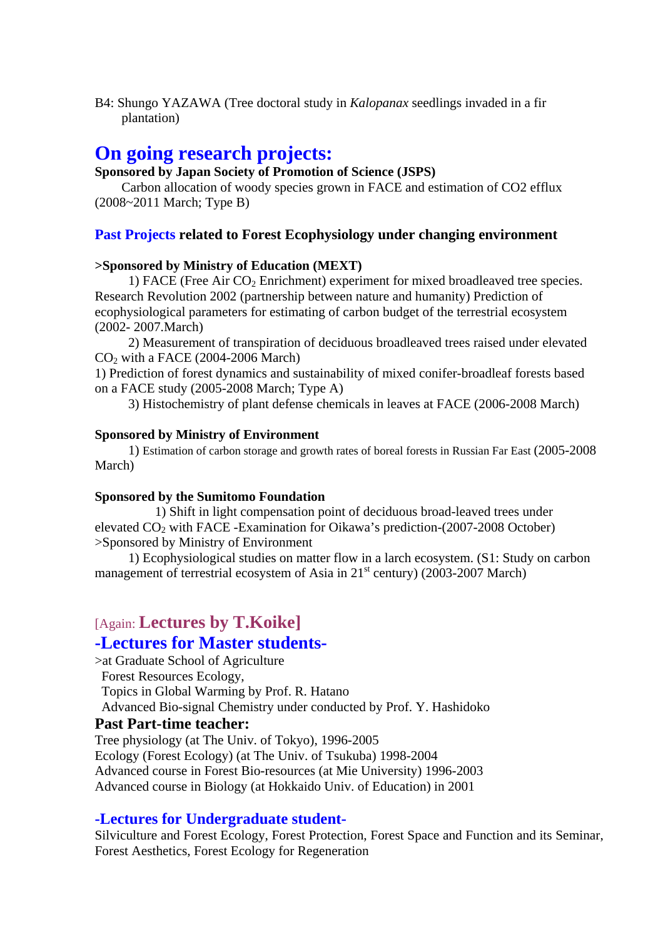B4: Shungo YAZAWA (Tree doctoral study in *Kalopanax* seedlings invaded in a fir plantation)

# **On going research projects:**

#### **Sponsored by Japan Society of Promotion of Science (JSPS)**

 Carbon allocation of woody species grown in FACE and estimation of CO2 efflux (2008~2011 March; Type B)

#### **Past Projects related to Forest Ecophysiology under changing environment**

#### **>Sponsored by Ministry of Education (MEXT)**

1) FACE (Free Air  $CO<sub>2</sub>$  Enrichment) experiment for mixed broadleaved tree species. Research Revolution 2002 (partnership between nature and humanity) Prediction of ecophysiological parameters for estimating of carbon budget of the terrestrial ecosystem (2002- 2007.March)

 2) Measurement of transpiration of deciduous broadleaved trees raised under elevated  $CO<sub>2</sub>$  with a FACE (2004-2006 March)

1) Prediction of forest dynamics and sustainability of mixed conifer-broadleaf forests based on a FACE study (2005-2008 March; Type A)

3) Histochemistry of plant defense chemicals in leaves at FACE (2006-2008 March)

#### **Sponsored by Ministry of Environment**

 1) Estimation of carbon storage and growth rates of boreal forests in Russian Far East (2005-2008 March)

#### **Sponsored by the Sumitomo Foundation**

 1) Shift in light compensation point of deciduous broad-leaved trees under elevated  $CO<sub>2</sub>$  with FACE -Examination for Oikawa's prediction-(2007-2008 October) >Sponsored by Ministry of Environment

 1) Ecophysiological studies on matter flow in a larch ecosystem. (S1: Study on carbon management of terrestrial ecosystem of Asia in  $21<sup>st</sup>$  century) (2003-2007 March)

# [Again: **Lectures by T.Koike]**

### **-Lectures for Master students-**

>at Graduate School of Agriculture Forest Resources Ecology, Topics in Global Warming by Prof. R. Hatano

Advanced Bio-signal Chemistry under conducted by Prof. Y. Hashidoko

#### **Past Part-time teacher:**

Tree physiology (at The Univ. of Tokyo), 1996-2005 Ecology (Forest Ecology) (at The Univ. of Tsukuba) 1998-2004 Advanced course in Forest Bio-resources (at Mie University) 1996-2003 Advanced course in Biology (at Hokkaido Univ. of Education) in 2001

#### **-Lectures for Undergraduate student-**

Silviculture and Forest Ecology, Forest Protection, Forest Space and Function and its Seminar, Forest Aesthetics, Forest Ecology for Regeneration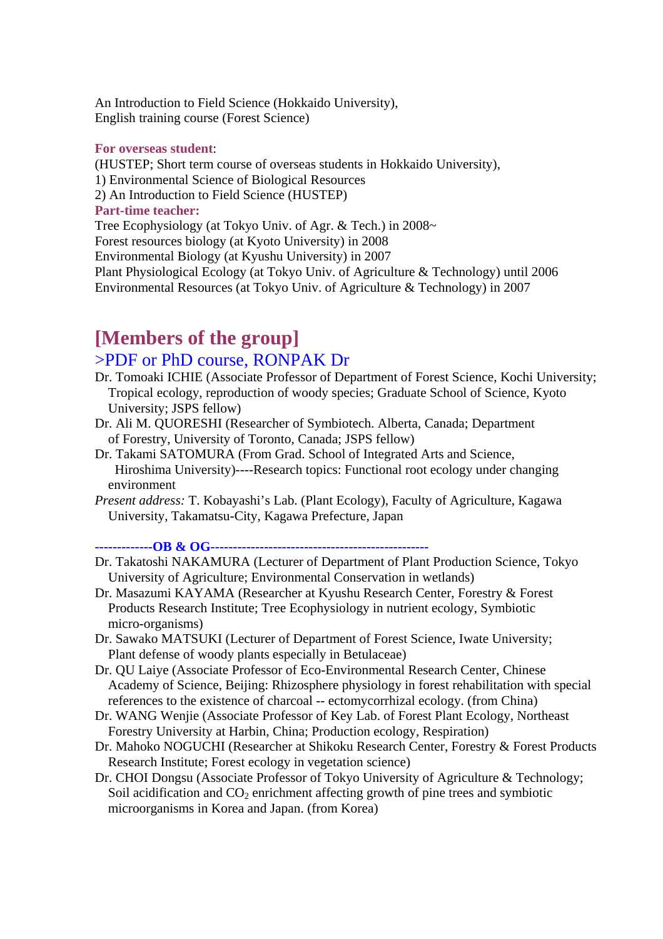An Introduction to Field Science (Hokkaido University), English training course (Forest Science)

#### **For overseas student**:

(HUSTEP; Short term course of overseas students in Hokkaido University),

1) Environmental Science of Biological Resources

2) An Introduction to Field Science (HUSTEP)

#### **Part-time teacher:**

Tree Ecophysiology (at Tokyo Univ. of Agr. & Tech.) in 2008~

Forest resources biology (at Kyoto University) in 2008

Environmental Biology (at Kyushu University) in 2007

Plant Physiological Ecology (at Tokyo Univ. of Agriculture & Technology) until 2006 Environmental Resources (at Tokyo Univ. of Agriculture & Technology) in 2007

# **[Members of the group]**

## >PDF or PhD course, RONPAK Dr

- Dr. Tomoaki ICHIE (Associate Professor of Department of Forest Science, Kochi University; Tropical ecology, reproduction of woody species; Graduate School of Science, Kyoto University; JSPS fellow)
- Dr. Ali M. QUORESHI (Researcher of Symbiotech. Alberta, Canada; Department of Forestry, University of Toronto, Canada; JSPS fellow)
- Dr. Takami SATOMURA (From Grad. School of Integrated Arts and Science, Hiroshima University)----Research topics: Functional root ecology under changing environment

*Present address:* T. Kobayashi's Lab. (Plant Ecology), Faculty of Agriculture, Kagawa University, Takamatsu-City, Kagawa Prefecture, Japan

**-------------OB & OG-------------------------------------------------** 

- Dr. Takatoshi NAKAMURA (Lecturer of Department of Plant Production Science, Tokyo University of Agriculture; Environmental Conservation in wetlands)
- Dr. Masazumi KAYAMA (Researcher at Kyushu Research Center, Forestry & Forest Products Research Institute; Tree Ecophysiology in nutrient ecology, Symbiotic micro-organisms)
- Dr. Sawako MATSUKI (Lecturer of Department of Forest Science, Iwate University; Plant defense of woody plants especially in Betulaceae)
- Dr. QU Laiye (Associate Professor of Eco-Environmental Research Center, Chinese Academy of Science, Beijing: Rhizosphere physiology in forest rehabilitation with special references to the existence of charcoal -- ectomycorrhizal ecology. (from China)
- Dr. WANG Wenjie (Associate Professor of Key Lab. of Forest Plant Ecology, Northeast Forestry University at Harbin, China; Production ecology, Respiration)
- Dr. Mahoko NOGUCHI (Researcher at Shikoku Research Center, Forestry & Forest Products Research Institute; Forest ecology in vegetation science)
- Dr. CHOI Dongsu (Associate Professor of Tokyo University of Agriculture & Technology; Soil acidification and  $CO<sub>2</sub>$  enrichment affecting growth of pine trees and symbiotic microorganisms in Korea and Japan. (from Korea)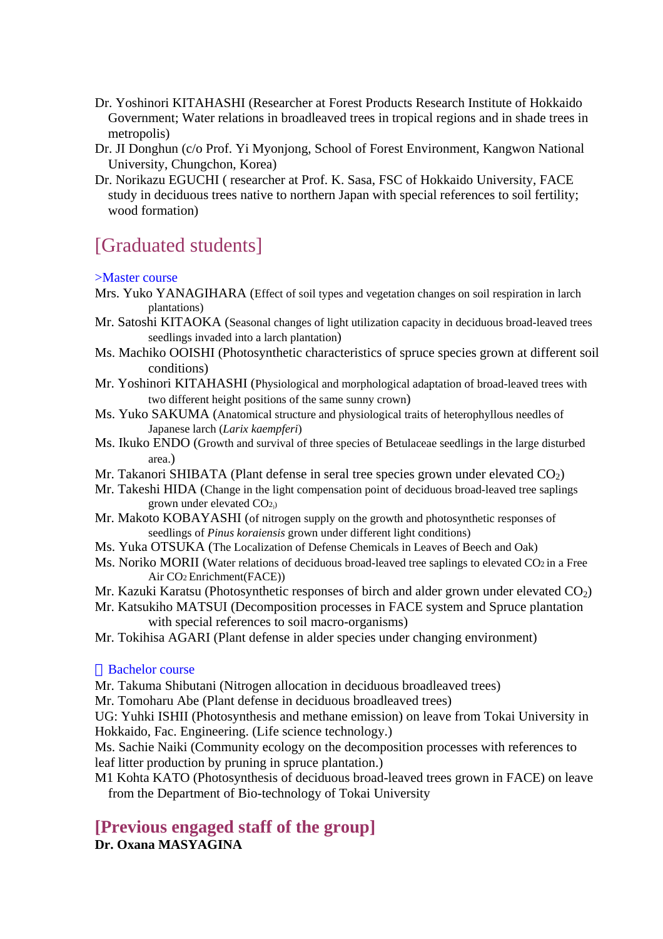- Dr. Yoshinori KITAHASHI (Researcher at Forest Products Research Institute of Hokkaido Government; Water relations in broadleaved trees in tropical regions and in shade trees in metropolis)
- Dr. JI Donghun (c/o Prof. Yi Myonjong, School of Forest Environment, Kangwon National University, Chungchon, Korea)
- Dr. Norikazu EGUCHI ( researcher at Prof. K. Sasa, FSC of Hokkaido University, FACE study in deciduous trees native to northern Japan with special references to soil fertility; wood formation)

# [Graduated students]

#### >Master course

- Mrs. Yuko YANAGIHARA (Effect of soil types and vegetation changes on soil respiration in larch plantations)
- Mr. Satoshi KITAOKA (Seasonal changes of light utilization capacity in deciduous broad-leaved trees seedlings invaded into a larch plantation)
- Ms. Machiko OOISHI (Photosynthetic characteristics of spruce species grown at different soil conditions)
- Mr. Yoshinori KITAHASHI (Physiological and morphological adaptation of broad-leaved trees with two different height positions of the same sunny crown)
- Ms. Yuko SAKUMA (Anatomical structure and physiological traits of heterophyllous needles of Japanese larch (*Larix kaempferi*)
- Ms. Ikuko ENDO (Growth and survival of three species of Betulaceae seedlings in the large disturbed area.)
- Mr. Takanori SHIBATA (Plant defense in seral tree species grown under elevated  $CO<sub>2</sub>$ )
- Mr. Takeshi HIDA (Change in the light compensation point of deciduous broad-leaved tree saplings grown under elevated CO2))
- Mr. Makoto KOBAYASHI (of nitrogen supply on the growth and photosynthetic responses of seedlings of *Pinus koraiensis* grown under different light conditions)
- Ms. Yuka OTSUKA (The Localization of Defense Chemicals in Leaves of Beech and Oak)
- Ms. Noriko MORII (Water relations of deciduous broad-leaved tree saplings to elevated CO<sub>2</sub> in a Free Air CO2 Enrichment(FACE))
- Mr. Kazuki Karatsu (Photosynthetic responses of birch and alder grown under elevated  $CO<sub>2</sub>$ )
- Mr. Katsukiho MATSUI (Decomposition processes in FACE system and Spruce plantation with special references to soil macro-organisms)
- Mr. Tokihisa AGARI (Plant defense in alder species under changing environment)

#### Bachelor course

- Mr. Takuma Shibutani (Nitrogen allocation in deciduous broadleaved trees)
- Mr. Tomoharu Abe (Plant defense in deciduous broadleaved trees)

UG: Yuhki ISHII (Photosynthesis and methane emission) on leave from Tokai University in Hokkaido, Fac. Engineering. (Life science technology.)

Ms. Sachie Naiki (Community ecology on the decomposition processes with references to leaf litter production by pruning in spruce plantation.)

M1 Kohta KATO (Photosynthesis of deciduous broad-leaved trees grown in FACE) on leave from the Department of Bio-technology of Tokai University

# **[Previous engaged staff of the group]**

**Dr. Oxana MASYAGINA**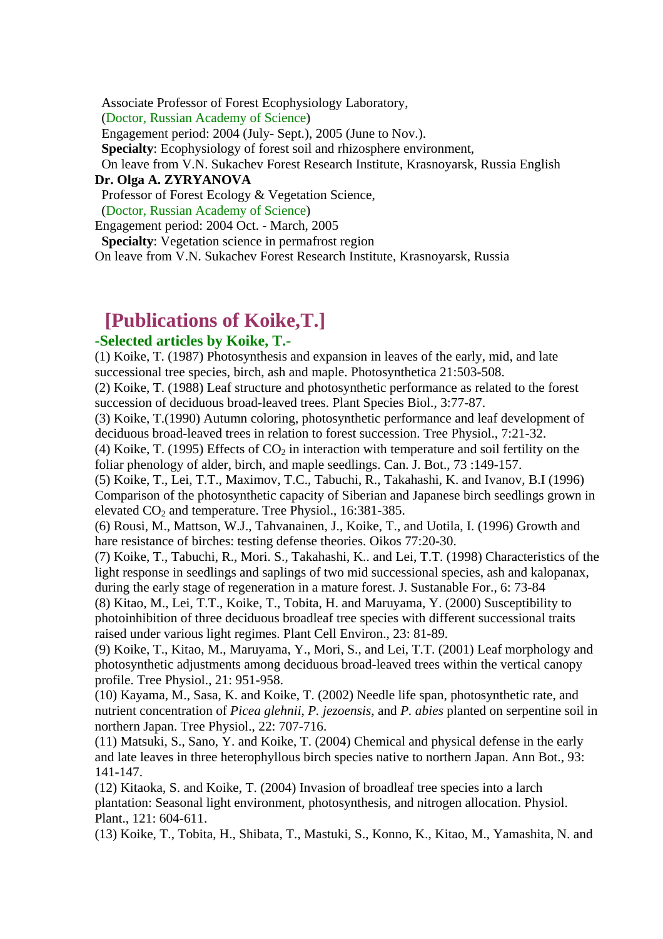Associate Professor of Forest Ecophysiology Laboratory,

(Doctor, Russian Academy of Science)

Engagement period: 2004 (July- Sept.), 2005 (June to Nov.).

**Specialty**: Ecophysiology of forest soil and rhizosphere environment,

 On leave from V.N. Sukachev Forest Research Institute, Krasnoyarsk, Russia English **Dr. Olga A. ZYRYANOVA**

Professor of Forest Ecology & Vegetation Science,

(Doctor, Russian Academy of Science)

Engagement period: 2004 Oct. - March, 2005

**Specialty**: Vegetation science in permafrost region

On leave from V.N. Sukachev Forest Research Institute, Krasnoyarsk, Russia

# **[Publications of Koike,T.]**

### **-Selected articles by Koike, T.-**

(1) Koike, T. (1987) Photosynthesis and expansion in leaves of the early, mid, and late successional tree species, birch, ash and maple. Photosynthetica 21:503-508.

(2) Koike, T. (1988) Leaf structure and photosynthetic performance as related to the forest succession of deciduous broad-leaved trees. Plant Species Biol., 3:77-87.

(3) Koike, T.(1990) Autumn coloring, photosynthetic performance and leaf development of deciduous broad-leaved trees in relation to forest succession. Tree Physiol., 7:21-32.

(4) Koike, T. (1995) Effects of  $CO<sub>2</sub>$  in interaction with temperature and soil fertility on the foliar phenology of alder, birch, and maple seedlings. Can. J. Bot., 73 :149-157.

(5) Koike, T., Lei, T.T., Maximov, T.C., Tabuchi, R., Takahashi, K. and Ivanov, B.I (1996) Comparison of the photosynthetic capacity of Siberian and Japanese birch seedlings grown in elevated  $CO<sub>2</sub>$  and temperature. Tree Physiol., 16:381-385.

(6) Rousi, M., Mattson, W.J., Tahvanainen, J., Koike, T., and Uotila, I. (1996) Growth and hare resistance of birches: testing defense theories. Oikos 77:20-30.

(7) Koike, T., Tabuchi, R., Mori. S., Takahashi, K.. and Lei, T.T. (1998) Characteristics of the light response in seedlings and saplings of two mid successional species, ash and kalopanax, during the early stage of regeneration in a mature forest. J. Sustanable For., 6: 73-84

(8) Kitao, M., Lei, T.T., Koike, T., Tobita, H. and Maruyama, Y. (2000) Susceptibility to photoinhibition of three deciduous broadleaf tree species with different successional traits raised under various light regimes. Plant Cell Environ., 23: 81-89.

(9) Koike, T., Kitao, M., Maruyama, Y., Mori, S., and Lei, T.T. (2001) Leaf morphology and photosynthetic adjustments among deciduous broad-leaved trees within the vertical canopy profile. Tree Physiol., 21: 951-958.

(10) Kayama, M., Sasa, K. and Koike, T. (2002) Needle life span, photosynthetic rate, and nutrient concentration of *Picea glehnii*, *P. jezoensis*, and *P. abies* planted on serpentine soil in northern Japan. Tree Physiol., 22: 707-716.

(11) Matsuki, S., Sano, Y. and Koike, T. (2004) Chemical and physical defense in the early and late leaves in three heterophyllous birch species native to northern Japan. Ann Bot., 93: 141-147.

(12) Kitaoka, S. and Koike, T. (2004) Invasion of broadleaf tree species into a larch plantation: Seasonal light environment, photosynthesis, and nitrogen allocation. Physiol. Plant., 121: 604-611.

(13) Koike, T., Tobita, H., Shibata, T., Mastuki, S., Konno, K., Kitao, M., Yamashita, N. and